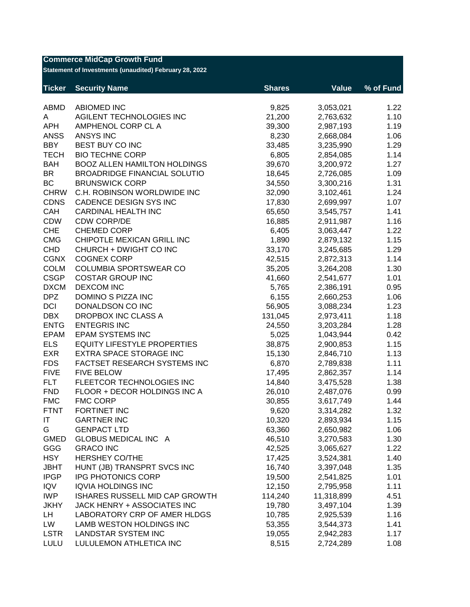| <b>Commerce MidCap Growth Fund</b><br>Statement of Investments (unaudited) February 28, 2022 |                                     |               |              |           |  |
|----------------------------------------------------------------------------------------------|-------------------------------------|---------------|--------------|-----------|--|
| <b>Ticker</b>                                                                                | <b>Security Name</b>                | <b>Shares</b> | <b>Value</b> | % of Fund |  |
| <b>ABMD</b>                                                                                  | <b>ABIOMED INC</b>                  | 9,825         | 3,053,021    | 1.22      |  |
| A                                                                                            | AGILENT TECHNOLOGIES INC            | 21,200        | 2,763,632    | 1.10      |  |
| <b>APH</b>                                                                                   | AMPHENOL CORP CL A                  | 39,300        | 2,987,193    | 1.19      |  |
| <b>ANSS</b>                                                                                  | <b>ANSYS INC</b>                    | 8,230         | 2,668,084    | 1.06      |  |
| <b>BBY</b>                                                                                   | BEST BUY CO INC                     | 33,485        | 3,235,990    | 1.29      |  |
| <b>TECH</b>                                                                                  | <b>BIO TECHNE CORP</b>              | 6,805         | 2,854,085    | 1.14      |  |
| <b>BAH</b>                                                                                   | <b>BOOZ ALLEN HAMILTON HOLDINGS</b> | 39,670        | 3,200,972    | 1.27      |  |
| <b>BR</b>                                                                                    | <b>BROADRIDGE FINANCIAL SOLUTIO</b> | 18,645        | 2,726,085    | 1.09      |  |
| BC                                                                                           | <b>BRUNSWICK CORP</b>               | 34,550        | 3,300,216    | 1.31      |  |
| <b>CHRW</b>                                                                                  | C.H. ROBINSON WORLDWIDE INC         | 32,090        | 3,102,461    | 1.24      |  |
| <b>CDNS</b>                                                                                  | CADENCE DESIGN SYS INC              | 17,830        | 2,699,997    | 1.07      |  |
| CAH                                                                                          | <b>CARDINAL HEALTH INC</b>          | 65,650        | 3,545,757    | 1.41      |  |
| <b>CDW</b>                                                                                   | <b>CDW CORP/DE</b>                  | 16,885        | 2,911,987    | 1.16      |  |
| <b>CHE</b>                                                                                   | <b>CHEMED CORP</b>                  | 6,405         | 3,063,447    | 1.22      |  |
| <b>CMG</b>                                                                                   | CHIPOTLE MEXICAN GRILL INC          | 1,890         | 2,879,132    | 1.15      |  |
| <b>CHD</b>                                                                                   | CHURCH + DWIGHT CO INC              | 33,170        | 3,245,685    | 1.29      |  |
| <b>CGNX</b>                                                                                  | <b>COGNEX CORP</b>                  | 42,515        | 2,872,313    | 1.14      |  |
| <b>COLM</b>                                                                                  | <b>COLUMBIA SPORTSWEAR CO</b>       | 35,205        | 3,264,208    | 1.30      |  |
| <b>CSGP</b>                                                                                  | <b>COSTAR GROUP INC</b>             | 41,660        | 2,541,677    | 1.01      |  |
| <b>DXCM</b>                                                                                  | <b>DEXCOM INC</b>                   | 5,765         | 2,386,191    | 0.95      |  |
| <b>DPZ</b>                                                                                   | DOMINO S PIZZA INC                  | 6,155         | 2,660,253    | 1.06      |  |
| <b>DCI</b>                                                                                   | DONALDSON CO INC                    | 56,905        | 3,088,234    | 1.23      |  |
| <b>DBX</b>                                                                                   | DROPBOX INC CLASS A                 | 131,045       | 2,973,411    | 1.18      |  |
| <b>ENTG</b>                                                                                  | <b>ENTEGRIS INC</b>                 | 24,550        | 3,203,284    | 1.28      |  |
| <b>EPAM</b>                                                                                  | <b>EPAM SYSTEMS INC</b>             | 5,025         | 1,043,944    | 0.42      |  |
| <b>ELS</b>                                                                                   | <b>EQUITY LIFESTYLE PROPERTIES</b>  | 38,875        | 2,900,853    | 1.15      |  |
| <b>EXR</b>                                                                                   | EXTRA SPACE STORAGE INC             | 15,130        | 2,846,710    | 1.13      |  |
| <b>FDS</b>                                                                                   | FACTSET RESEARCH SYSTEMS INC        | 6,870         | 2,789,838    | 1.11      |  |
| <b>FIVE</b>                                                                                  | <b>FIVE BELOW</b>                   | 17,495        | 2,862,357    | 1.14      |  |
| <b>FLT</b>                                                                                   | FLEETCOR TECHNOLOGIES INC           | 14,840        | 3,475,528    | 1.38      |  |
| <b>FND</b>                                                                                   | FLOOR + DECOR HOLDINGS INC A        | 26,010        | 2,487,076    | 0.99      |  |
| <b>FMC</b>                                                                                   | <b>FMC CORP</b>                     | 30,855        | 3,617,749    | 1.44      |  |
| <b>FTNT</b>                                                                                  | FORTINET INC                        | 9,620         | 3,314,282    | 1.32      |  |
| IT                                                                                           | <b>GARTNER INC</b>                  | 10,320        | 2,893,934    | 1.15      |  |
| G                                                                                            | <b>GENPACT LTD</b>                  | 63,360        | 2,650,982    | 1.06      |  |
| <b>GMED</b>                                                                                  | GLOBUS MEDICAL INC A                | 46,510        | 3,270,583    | 1.30      |  |
| GGG                                                                                          | <b>GRACO INC</b>                    | 42,525        | 3,065,627    | 1.22      |  |
| <b>HSY</b>                                                                                   | <b>HERSHEY CO/THE</b>               | 17,425        | 3,524,381    | 1.40      |  |
| <b>JBHT</b>                                                                                  | HUNT (JB) TRANSPRT SVCS INC         | 16,740        | 3,397,048    | 1.35      |  |
| <b>IPGP</b>                                                                                  | IPG PHOTONICS CORP                  | 19,500        | 2,541,825    | 1.01      |  |
| <b>IQV</b>                                                                                   | <b>IQVIA HOLDINGS INC</b>           | 12,150        | 2,795,958    | 1.11      |  |
| <b>IWP</b>                                                                                   | ISHARES RUSSELL MID CAP GROWTH      | 114,240       | 11,318,899   | 4.51      |  |
| <b>JKHY</b>                                                                                  | JACK HENRY + ASSOCIATES INC         | 19,780        | 3,497,104    | 1.39      |  |
| LH                                                                                           | LABORATORY CRP OF AMER HLDGS        | 10,785        | 2,925,539    | 1.16      |  |
| LW                                                                                           | LAMB WESTON HOLDINGS INC            | 53,355        | 3,544,373    | 1.41      |  |
| <b>LSTR</b>                                                                                  | <b>LANDSTAR SYSTEM INC</b>          | 19,055        | 2,942,283    | 1.17      |  |
| LULU                                                                                         | LULULEMON ATHLETICA INC             | 8,515         | 2,724,289    | 1.08      |  |